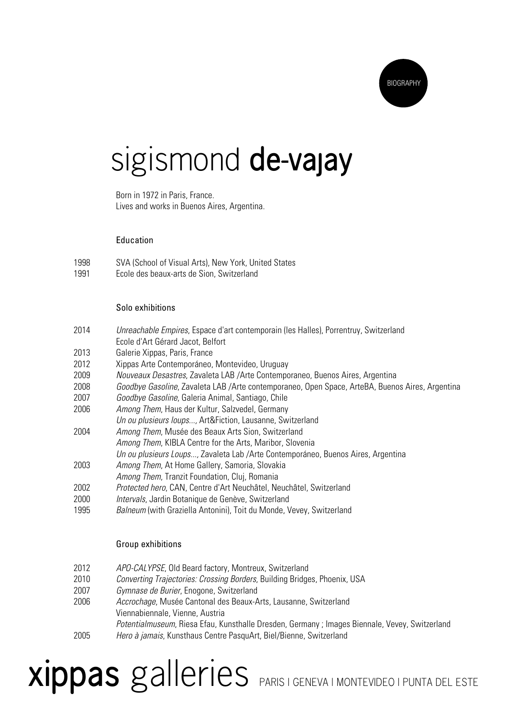

### sigismond **de-vajay**

 Born in 1972 in Paris, France. Lives and works in Buenos Aires, Argentina.

### Education

1998 SVA (School of Visual Arts), New York, United States 1991 Ecole des beaux-arts de Sion, Switzerland

#### Solo exhibitions

- 2014 Unreachable Empires, Espace d'art contemporain (les Halles), Porrentruy, Switzerland Ecole d'Art Gérard Jacot, Belfort 2013 Galerie Xippas, Paris, France
- 2012 Xippas Arte Contemporáneo, Montevideo, Uruguay
- 2009 Nouveaux Desastres, Zavaleta LAB /Arte Contemporaneo, Buenos Aires, Argentina
- 2008 Goodbye Gasoline, Zavaleta LAB /Arte contemporaneo, Open Space, ArteBA, Buenos Aires, Argentina
- 2007 Goodbye Gasoline, Galeria Animal, Santiago, Chile
- 2006 Among Them, Haus der Kultur, Salzvedel, Germany
- Un ou plusieurs loups..., Art&Fiction, Lausanne, Switzerland
- 2004 Among Them, Musée des Beaux Arts Sion, Switzerland
	- Among Them, KIBLA Centre for the Arts, Maribor, Slovenia
		- Un ou plusieurs Loups..., Zavaleta Lab /Arte Contemporáneo, Buenos Aires, Argentina
- 2003 Among Them, At Home Gallery, Samoria, Slovakia
- Among Them, Tranzit Foundation, Cluj, Romania
- 2002 Protected hero, CAN, Centre d'Art Neuchâtel, Neuchâtel, Switzerland
- 2000 Intervals, Jardin Botanique de Genève, Switzerland
- 1995 Balneum (with Graziella Antonini), Toit du Monde, Vevey, Switzerland

### Group exhibitions

- 2012 APO-CALYPSE, Old Beard factory, Montreux, Switzerland
- 2010 Converting Trajectories: Crossing Borders, Building Bridges, Phoenix, USA
- 2007 Gymnase de Burier, Enogone, Switzerland
- 2006 Accrochage, Musée Cantonal des Beaux-Arts, Lausanne, Switzerland Viennabiennale, Vienne, Austria Potentialmuseum, Riesa Efau, Kunsthalle Dresden, Germany ; Images Biennale, Vevey, Switzerland 2005 Hero à jamais, Kunsthaus Centre PasquArt, Biel/Bienne, Switzerland

# **xippas** galleries PARIS | GENEVA | MONTEVIDEO | PUNTA DEL ESTE